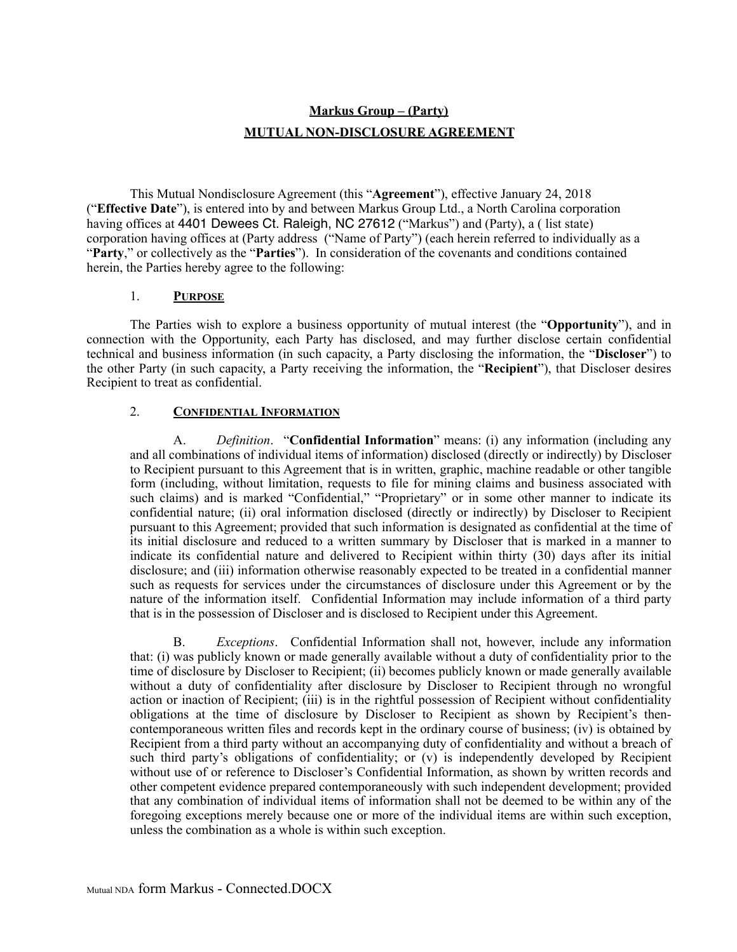# **Markus Group – (Party) MUTUAL NON-DISCLOSURE AGREEMENT**

This Mutual Nondisclosure Agreement (this "**Agreement**"), effective January 24, 2018 ("**Effective Date**"), is entered into by and between Markus Group Ltd., a North Carolina corporation having offices at 4401 Dewees Ct. Raleigh, NC 27612 ("Markus") and (Party), a (list state) corporation having offices at (Party address ("Name of Party") (each herein referred to individually as a "**Party**," or collectively as the "**Parties**"). In consideration of the covenants and conditions contained herein, the Parties hereby agree to the following:

#### 1. **PURPOSE**

The Parties wish to explore a business opportunity of mutual interest (the "**Opportunity**"), and in connection with the Opportunity, each Party has disclosed, and may further disclose certain confidential technical and business information (in such capacity, a Party disclosing the information, the "**Discloser**") to the other Party (in such capacity, a Party receiving the information, the "**Recipient**"), that Discloser desires Recipient to treat as confidential.

# 2. **CONFIDENTIAL INFORMATION**

A. *Definition*. "**Confidential Information**" means: (i) any information (including any and all combinations of individual items of information) disclosed (directly or indirectly) by Discloser to Recipient pursuant to this Agreement that is in written, graphic, machine readable or other tangible form (including, without limitation, requests to file for mining claims and business associated with such claims) and is marked "Confidential," "Proprietary" or in some other manner to indicate its confidential nature; (ii) oral information disclosed (directly or indirectly) by Discloser to Recipient pursuant to this Agreement; provided that such information is designated as confidential at the time of its initial disclosure and reduced to a written summary by Discloser that is marked in a manner to indicate its confidential nature and delivered to Recipient within thirty (30) days after its initial disclosure; and (iii) information otherwise reasonably expected to be treated in a confidential manner such as requests for services under the circumstances of disclosure under this Agreement or by the nature of the information itself. Confidential Information may include information of a third party that is in the possession of Discloser and is disclosed to Recipient under this Agreement.

B. *Exceptions*. Confidential Information shall not, however, include any information that: (i) was publicly known or made generally available without a duty of confidentiality prior to the time of disclosure by Discloser to Recipient; (ii) becomes publicly known or made generally available without a duty of confidentiality after disclosure by Discloser to Recipient through no wrongful action or inaction of Recipient; (iii) is in the rightful possession of Recipient without confidentiality obligations at the time of disclosure by Discloser to Recipient as shown by Recipient's thencontemporaneous written files and records kept in the ordinary course of business; (iv) is obtained by Recipient from a third party without an accompanying duty of confidentiality and without a breach of such third party's obligations of confidentiality; or (v) is independently developed by Recipient without use of or reference to Discloser's Confidential Information, as shown by written records and other competent evidence prepared contemporaneously with such independent development; provided that any combination of individual items of information shall not be deemed to be within any of the foregoing exceptions merely because one or more of the individual items are within such exception, unless the combination as a whole is within such exception.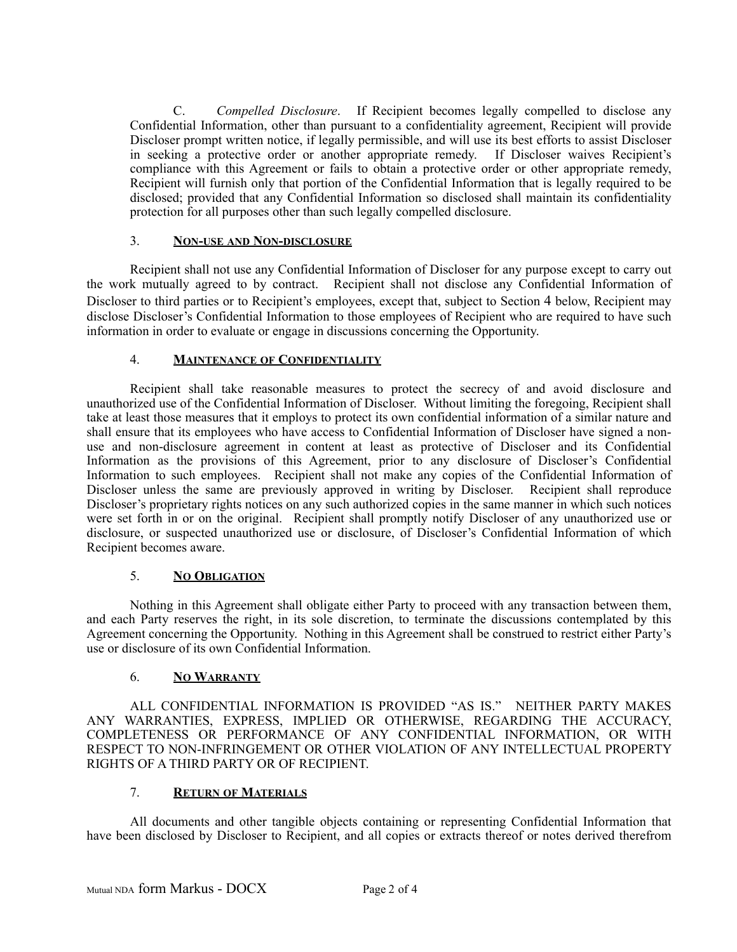C. *Compelled Disclosure*. If Recipient becomes legally compelled to disclose any Confidential Information, other than pursuant to a confidentiality agreement, Recipient will provide Discloser prompt written notice, if legally permissible, and will use its best efforts to assist Discloser in seeking a protective order or another appropriate remedy. If Discloser waives Recipient's compliance with this Agreement or fails to obtain a protective order or other appropriate remedy, Recipient will furnish only that portion of the Confidential Information that is legally required to be disclosed; provided that any Confidential Information so disclosed shall maintain its confidentiality protection for all purposes other than such legally compelled disclosure.

## 3. **NON-USE AND NON-DISCLOSURE**

Recipient shall not use any Confidential Information of Discloser for any purpose except to carry out the work mutually agreed to by contract. Recipient shall not disclose any Confidential Information of Discloser to third parties or to Recipient's employees, except that, subject to Section [4](#page-1-0) below, Recipient may disclose Discloser's Confidential Information to those employees of Recipient who are required to have such information in order to evaluate or engage in discussions concerning the Opportunity.

#### <span id="page-1-0"></span>4. **MAINTENANCE OF CONFIDENTIALITY**

Recipient shall take reasonable measures to protect the secrecy of and avoid disclosure and unauthorized use of the Confidential Information of Discloser. Without limiting the foregoing, Recipient shall take at least those measures that it employs to protect its own confidential information of a similar nature and shall ensure that its employees who have access to Confidential Information of Discloser have signed a nonuse and non-disclosure agreement in content at least as protective of Discloser and its Confidential Information as the provisions of this Agreement, prior to any disclosure of Discloser's Confidential Information to such employees. Recipient shall not make any copies of the Confidential Information of Discloser unless the same are previously approved in writing by Discloser. Recipient shall reproduce Discloser's proprietary rights notices on any such authorized copies in the same manner in which such notices were set forth in or on the original. Recipient shall promptly notify Discloser of any unauthorized use or disclosure, or suspected unauthorized use or disclosure, of Discloser's Confidential Information of which Recipient becomes aware.

# 5. **NO OBLIGATION**

Nothing in this Agreement shall obligate either Party to proceed with any transaction between them, and each Party reserves the right, in its sole discretion, to terminate the discussions contemplated by this Agreement concerning the Opportunity. Nothing in this Agreement shall be construed to restrict either Party's use or disclosure of its own Confidential Information.

# 6. **NO WARRANTY**

ALL CONFIDENTIAL INFORMATION IS PROVIDED "AS IS." NEITHER PARTY MAKES ANY WARRANTIES, EXPRESS, IMPLIED OR OTHERWISE, REGARDING THE ACCURACY, COMPLETENESS OR PERFORMANCE OF ANY CONFIDENTIAL INFORMATION, OR WITH RESPECT TO NON-INFRINGEMENT OR OTHER VIOLATION OF ANY INTELLECTUAL PROPERTY RIGHTS OF A THIRD PARTY OR OF RECIPIENT.

# 7. **RETURN OF MATERIALS**

All documents and other tangible objects containing or representing Confidential Information that have been disclosed by Discloser to Recipient, and all copies or extracts thereof or notes derived therefrom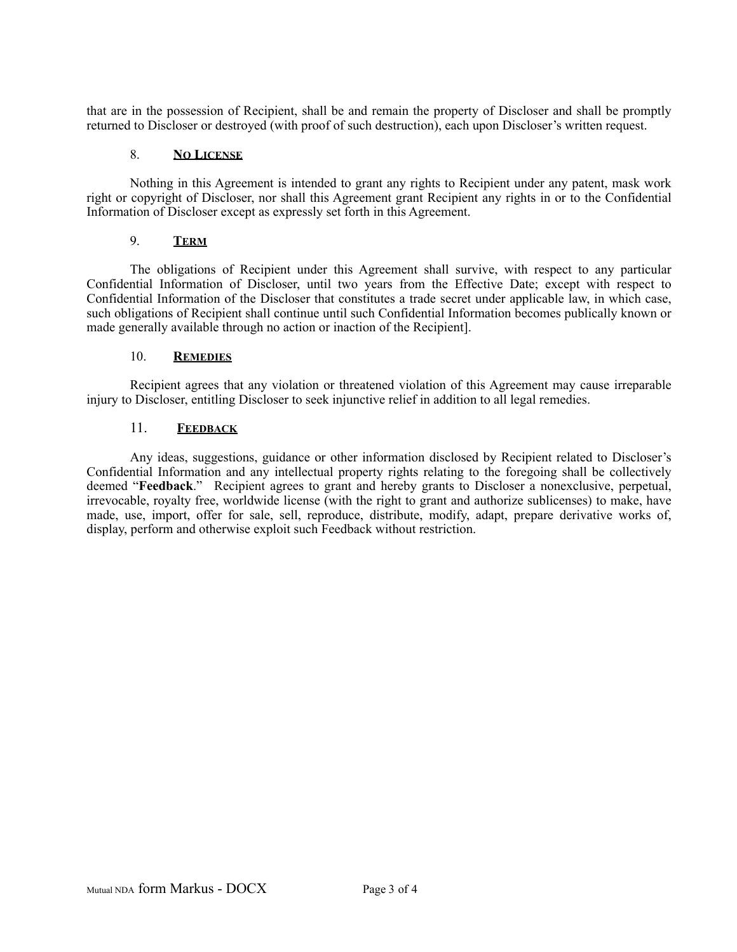that are in the possession of Recipient, shall be and remain the property of Discloser and shall be promptly returned to Discloser or destroyed (with proof of such destruction), each upon Discloser's written request.

# 8. **NO LICENSE**

Nothing in this Agreement is intended to grant any rights to Recipient under any patent, mask work right or copyright of Discloser, nor shall this Agreement grant Recipient any rights in or to the Confidential Information of Discloser except as expressly set forth in this Agreement.

# 9. **TERM**

The obligations of Recipient under this Agreement shall survive, with respect to any particular Confidential Information of Discloser, until two years from the Effective Date; except with respect to Confidential Information of the Discloser that constitutes a trade secret under applicable law, in which case, such obligations of Recipient shall continue until such Confidential Information becomes publically known or made generally available through no action or inaction of the Recipient].

# 10. **REMEDIES**

Recipient agrees that any violation or threatened violation of this Agreement may cause irreparable injury to Discloser, entitling Discloser to seek injunctive relief in addition to all legal remedies.

# 11. **FEEDBACK**

Any ideas, suggestions, guidance or other information disclosed by Recipient related to Discloser's Confidential Information and any intellectual property rights relating to the foregoing shall be collectively deemed "**Feedback**." Recipient agrees to grant and hereby grants to Discloser a nonexclusive, perpetual, irrevocable, royalty free, worldwide license (with the right to grant and authorize sublicenses) to make, have made, use, import, offer for sale, sell, reproduce, distribute, modify, adapt, prepare derivative works of, display, perform and otherwise exploit such Feedback without restriction.